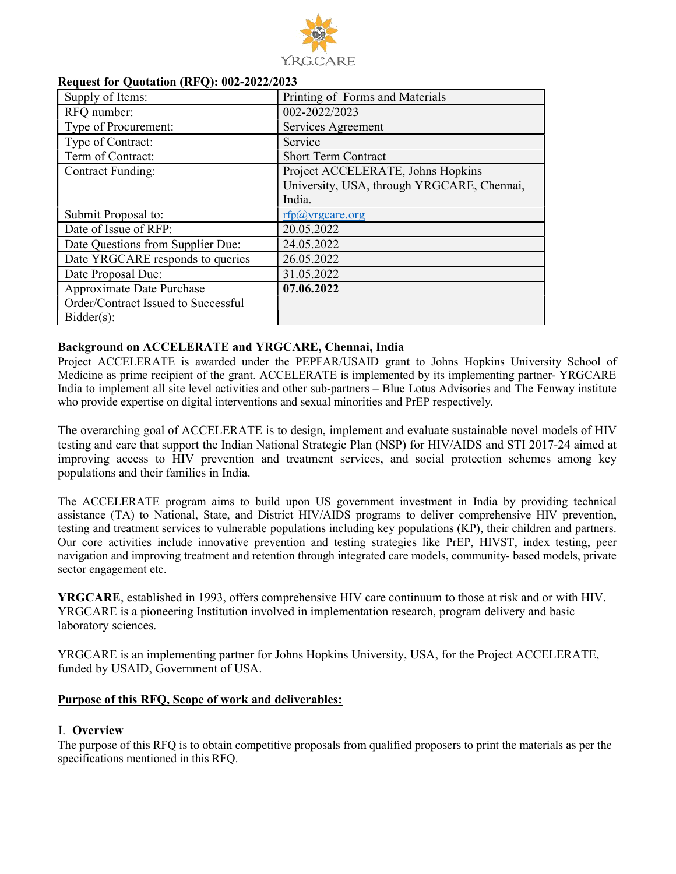

| INCQUEST TOT QUOTATION (INF Q). $002 - 2022/2025$ |                                            |
|---------------------------------------------------|--------------------------------------------|
| Supply of Items:                                  | Printing of Forms and Materials            |
| RFQ number:                                       | 002-2022/2023                              |
| Type of Procurement:                              | Services Agreement                         |
| Type of Contract:                                 | Service                                    |
| Term of Contract:                                 | <b>Short Term Contract</b>                 |
| <b>Contract Funding:</b>                          | Project ACCELERATE, Johns Hopkins          |
|                                                   | University, USA, through YRGCARE, Chennai, |
|                                                   | India.                                     |
| Submit Proposal to:                               | $rfp(a)$ yrgcare.org                       |
| Date of Issue of RFP:                             | 20.05.2022                                 |
| Date Questions from Supplier Due:                 | 24.05.2022                                 |
| Date YRGCARE responds to queries                  | 26.05.2022                                 |
| Date Proposal Due:                                | 31.05.2022                                 |
| Approximate Date Purchase                         | 07.06.2022                                 |
| Order/Contract Issued to Successful               |                                            |
| $Bidder(s)$ :                                     |                                            |

#### Request for Quotation (RFQ): 002-2022/2023

#### Background on ACCELERATE and YRGCARE, Chennai, India

Project ACCELERATE is awarded under the PEPFAR/USAID grant to Johns Hopkins University School of Medicine as prime recipient of the grant. ACCELERATE is implemented by its implementing partner- YRGCARE India to implement all site level activities and other sub-partners – Blue Lotus Advisories and The Fenway institute who provide expertise on digital interventions and sexual minorities and PrEP respectively.

The overarching goal of ACCELERATE is to design, implement and evaluate sustainable novel models of HIV testing and care that support the Indian National Strategic Plan (NSP) for HIV/AIDS and STI 2017-24 aimed at improving access to HIV prevention and treatment services, and social protection schemes among key populations and their families in India.

The ACCELERATE program aims to build upon US government investment in India by providing technical assistance (TA) to National, State, and District HIV/AIDS programs to deliver comprehensive HIV prevention, testing and treatment services to vulnerable populations including key populations (KP), their children and partners. Our core activities include innovative prevention and testing strategies like PrEP, HIVST, index testing, peer navigation and improving treatment and retention through integrated care models, community- based models, private sector engagement etc.

YRGCARE, established in 1993, offers comprehensive HIV care continuum to those at risk and or with HIV. YRGCARE is a pioneering Institution involved in implementation research, program delivery and basic laboratory sciences.

YRGCARE is an implementing partner for Johns Hopkins University, USA, for the Project ACCELERATE, funded by USAID, Government of USA.

#### Purpose of this RFQ, Scope of work and deliverables:

#### I. Overview

The purpose of this RFQ is to obtain competitive proposals from qualified proposers to print the materials as per the specifications mentioned in this RFQ.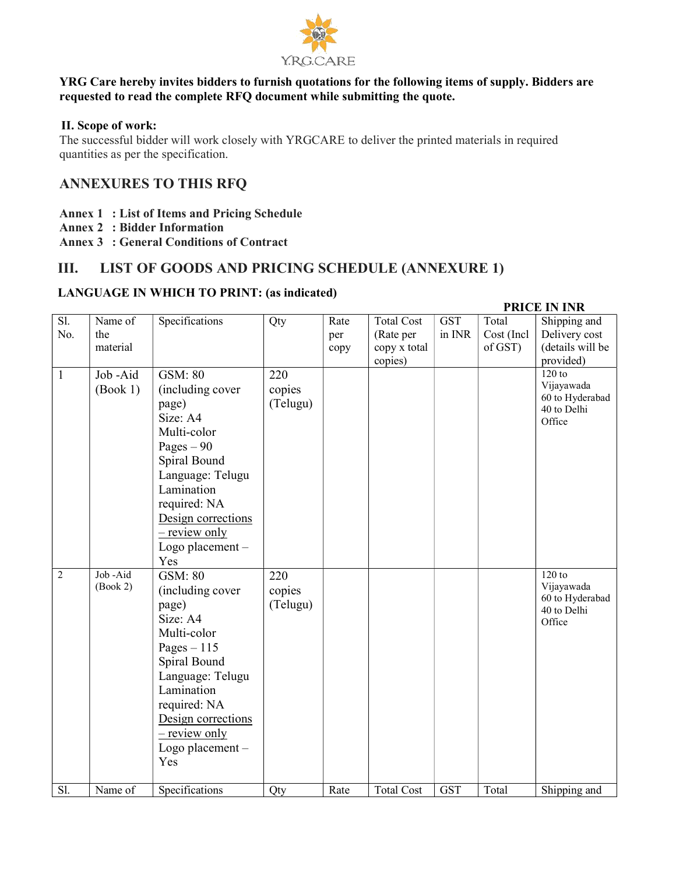

#### YRG Care hereby invites bidders to furnish quotations for the following items of supply. Bidders are requested to read the complete RFQ document while submitting the quote.

#### II. Scope of work:

The successful bidder will work closely with YRGCARE to deliver the printed materials in required quantities as per the specification.

# ANNEXURES TO THIS RFQ

- Annex 1 : List of Items and Pricing Schedule
- Annex 2 : Bidder Information
- Annex 3 : General Conditions of Contract

# III. LIST OF GOODS AND PRICING SCHEDULE (ANNEXURE 1)

#### LANGUAGE IN WHICH TO PRINT: (as indicated)

#### Sl. No. Name of the material Specifications | Qty | Rate per copy Total Cost (Rate per copy x total copies) **GST** in INR Total Cost (Incl of GST) Shipping and Delivery cost (details will be provided) 1 Job -Aid (Book 1) GSM: 80 (including cover page) Size: A4 Multi-color Pages  $-90$ Spiral Bound Language: Telugu Lamination required: NA Design corrections – review only Logo placement – Yes 220 copies (Telugu) 120 to 120 to 120 to 120 to 120 to 120 to 120 to 120 to 120 to 120 to 120 to 120 to 120 to 120 to 120 to 120 to 120 to 120 to 120 to 120 to 120 to 120 to 120 to 120 to 120 to 120 to 120 to 120 to 120 to 120 to 120 to 120 t Vijayawada 60 to Hyderabad 40 to Delhi **Office**  $2$  Job -Aid (Book 2) GSM: 80 (including cover page) Size: A4 Multi-color Pages  $-115$ Spiral Bound Language: Telugu Lamination required: NA Design corrections – review only Logo placement – Yes 220 copies (Telugu) 120 to 120 to 120 to 120 to 120 to 120 to 120 to 120 to 120 to 120 to 120 to 120 to 120 to 120 to 120 to 120 to 120 to 120 to 120 to 120 to 120 to 120 to 120 to 120 to 120 to 120 to 120 to 120 to 120 to 120 to 120 to 120 t Vijayawada 60 to Hyderabad 40 to Delhi **Office** Sl. Name of Specifications Qty Rate Total Cost GST Total Shipping and

#### PRICE IN INR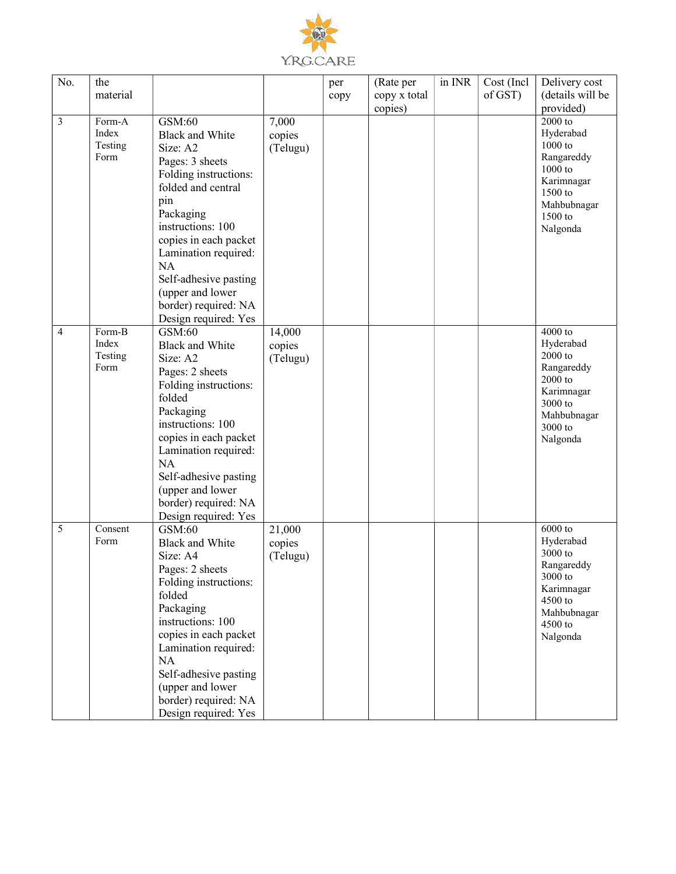

| No.            | the             |                                |          | per  | (Rate per    | in INR | Cost (Incl | Delivery cost           |
|----------------|-----------------|--------------------------------|----------|------|--------------|--------|------------|-------------------------|
|                | material        |                                |          | copy | copy x total |        | of GST)    | (details will be        |
|                |                 |                                |          |      | copies)      |        |            | provided)               |
| $\mathfrak{Z}$ | Form-A          | GSM:60                         | 7,000    |      |              |        |            | 2000 to                 |
|                | Index           | <b>Black and White</b>         | copies   |      |              |        |            | Hyderabad               |
|                | Testing         | Size: A2                       | (Telugu) |      |              |        |            | 1000 to                 |
|                | Form            | Pages: 3 sheets                |          |      |              |        |            | Rangareddy              |
|                |                 | Folding instructions:          |          |      |              |        |            | $1000$ to               |
|                |                 | folded and central             |          |      |              |        |            | Karimnagar              |
|                |                 | pin                            |          |      |              |        |            | 1500 to                 |
|                |                 |                                |          |      |              |        |            | Mahbubnagar             |
|                |                 | Packaging<br>instructions: 100 |          |      |              |        |            | 1500 to                 |
|                |                 |                                |          |      |              |        |            | Nalgonda                |
|                |                 | copies in each packet          |          |      |              |        |            |                         |
|                |                 | Lamination required:           |          |      |              |        |            |                         |
|                |                 | NA                             |          |      |              |        |            |                         |
|                |                 | Self-adhesive pasting          |          |      |              |        |            |                         |
|                |                 | (upper and lower               |          |      |              |        |            |                         |
|                |                 | border) required: NA           |          |      |              |        |            |                         |
|                |                 | Design required: Yes           |          |      |              |        |            |                         |
| $\overline{4}$ | Form-B          | GSM:60                         | 14,000   |      |              |        |            | 4000 to                 |
|                | Index           | <b>Black and White</b>         | copies   |      |              |        |            | Hyderabad               |
|                | Testing<br>Form | Size: A2                       | (Telugu) |      |              |        |            | $2000$ to<br>Rangareddy |
|                |                 | Pages: 2 sheets                |          |      |              |        |            | 2000 to                 |
|                |                 | Folding instructions:          |          |      |              |        |            | Karimnagar              |
|                |                 | folded                         |          |      |              |        |            | 3000 to                 |
|                |                 | Packaging                      |          |      |              |        |            | Mahbubnagar             |
|                |                 | instructions: 100              |          |      |              |        |            | 3000 to                 |
|                |                 | copies in each packet          |          |      |              |        |            | Nalgonda                |
|                |                 | Lamination required:           |          |      |              |        |            |                         |
|                |                 | NA                             |          |      |              |        |            |                         |
|                |                 | Self-adhesive pasting          |          |      |              |        |            |                         |
|                |                 | (upper and lower               |          |      |              |        |            |                         |
|                |                 | border) required: NA           |          |      |              |        |            |                         |
|                |                 | Design required: Yes           |          |      |              |        |            |                         |
| 5              | Consent         | GSM:60                         | 21,000   |      |              |        |            | $6000$ to               |
|                | Form            | <b>Black and White</b>         | copies   |      |              |        |            | Hyderabad               |
|                |                 | Size: A4                       | (Telugu) |      |              |        |            | 3000 to                 |
|                |                 | Pages: 2 sheets                |          |      |              |        |            | Rangareddy<br>3000 to   |
|                |                 | Folding instructions:          |          |      |              |        |            | Karimnagar              |
|                |                 | folded                         |          |      |              |        |            | 4500 to                 |
|                |                 | Packaging                      |          |      |              |        |            | Mahbubnagar             |
|                |                 | instructions: 100              |          |      |              |        |            | 4500 to                 |
|                |                 | copies in each packet          |          |      |              |        |            | Nalgonda                |
|                |                 | Lamination required:           |          |      |              |        |            |                         |
|                |                 | NA                             |          |      |              |        |            |                         |
|                |                 | Self-adhesive pasting          |          |      |              |        |            |                         |
|                |                 | (upper and lower               |          |      |              |        |            |                         |
|                |                 | border) required: NA           |          |      |              |        |            |                         |
|                |                 | Design required: Yes           |          |      |              |        |            |                         |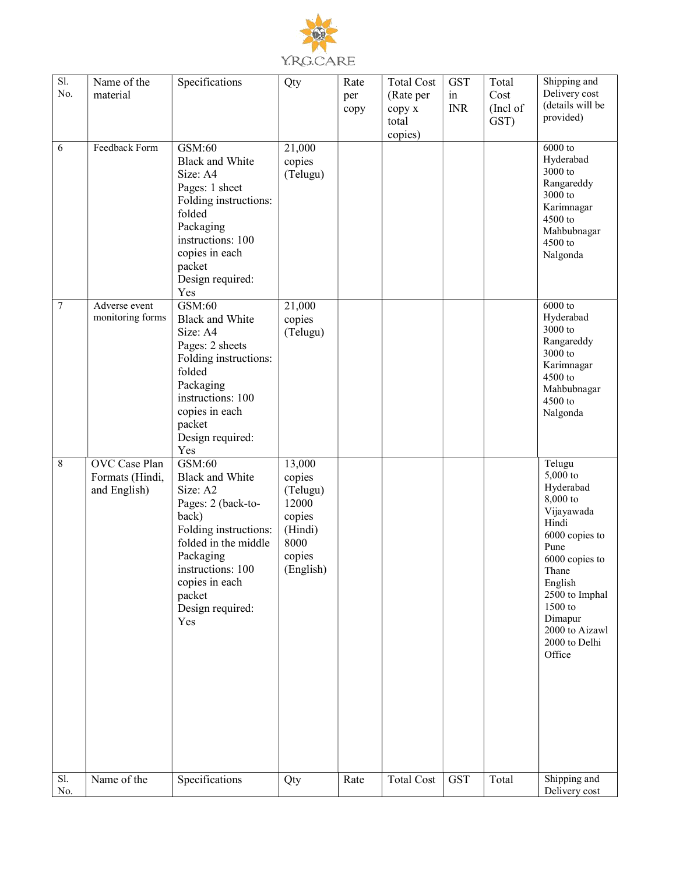

| $\overline{SI}$ .<br>No. | Name of the<br>material           | Specifications                           | Qty               | Rate        | <b>Total Cost</b>            | <b>GST</b>       | Total<br>Cost    | Shipping and<br>Delivery cost |
|--------------------------|-----------------------------------|------------------------------------------|-------------------|-------------|------------------------------|------------------|------------------|-------------------------------|
|                          |                                   |                                          |                   | per<br>copy | (Rate per<br>сору х<br>total | in<br><b>INR</b> | (Incl of<br>GST) | (details will be<br>provided) |
| 6                        | Feedback Form                     | GSM:60                                   | 21,000            |             | copies)                      |                  |                  | 6000 to                       |
|                          |                                   | <b>Black and White</b>                   | copies            |             |                              |                  |                  | Hyderabad<br>$3000$ to        |
|                          |                                   | Size: A4<br>Pages: 1 sheet               | (Telugu)          |             |                              |                  |                  | Rangareddy                    |
|                          |                                   | Folding instructions:                    |                   |             |                              |                  |                  | 3000 to<br>Karimnagar         |
|                          |                                   | folded<br>Packaging                      |                   |             |                              |                  |                  | 4500 to                       |
|                          |                                   | instructions: 100                        |                   |             |                              |                  |                  | Mahbubnagar<br>4500 to        |
|                          |                                   | copies in each                           |                   |             |                              |                  |                  | Nalgonda                      |
|                          |                                   | packet<br>Design required:               |                   |             |                              |                  |                  |                               |
|                          |                                   | Yes                                      |                   |             |                              |                  |                  |                               |
| $\tau$                   | Adverse event<br>monitoring forms | GSM:60<br><b>Black and White</b>         | 21,000<br>copies  |             |                              |                  |                  | 6000 to<br>Hyderabad          |
|                          |                                   | Size: A4                                 | (Telugu)          |             |                              |                  |                  | 3000 to<br>Rangareddy         |
|                          |                                   | Pages: 2 sheets<br>Folding instructions: |                   |             |                              |                  |                  | 3000 to                       |
|                          |                                   | folded                                   |                   |             |                              |                  |                  | Karimnagar<br>4500 to         |
|                          |                                   | Packaging<br>instructions: 100           |                   |             |                              |                  |                  | Mahbubnagar<br>4500 to        |
|                          |                                   | copies in each                           |                   |             |                              |                  |                  | Nalgonda                      |
|                          |                                   | packet<br>Design required:               |                   |             |                              |                  |                  |                               |
| 8                        | OVC Case Plan                     | Yes<br>GSM:60                            |                   |             |                              |                  |                  | Telugu                        |
|                          | Formats (Hindi,                   | <b>Black and White</b>                   | 13,000<br>copies  |             |                              |                  |                  | 5,000 to                      |
|                          | and English)                      | Size: A2                                 | (Telugu)<br>12000 |             |                              |                  |                  | Hyderabad<br>8,000 to         |
|                          |                                   | Pages: 2 (back-to-<br>back)              | copies            |             |                              |                  |                  | Vijayawada<br>Hindi           |
|                          |                                   | Folding instructions:                    | (Hindi)           |             |                              |                  |                  | 6000 copies to                |
|                          |                                   | folded in the middle<br>Packaging        | 8000<br>copies    |             |                              |                  |                  | Pune<br>6000 copies to        |
|                          |                                   | instructions: 100                        | (English)         |             |                              |                  |                  | Thane                         |
|                          |                                   | copies in each<br>packet                 |                   |             |                              |                  |                  | English<br>2500 to Imphal     |
|                          |                                   | Design required:                         |                   |             |                              |                  |                  | 1500 to<br>Dimapur            |
|                          |                                   | Yes                                      |                   |             |                              |                  |                  | 2000 to Aizawl                |
|                          |                                   |                                          |                   |             |                              |                  |                  | 2000 to Delhi<br>Office       |
|                          |                                   |                                          |                   |             |                              |                  |                  |                               |
|                          |                                   |                                          |                   |             |                              |                  |                  |                               |
|                          |                                   |                                          |                   |             |                              |                  |                  |                               |
|                          |                                   |                                          |                   |             |                              |                  |                  |                               |
|                          |                                   |                                          |                   |             |                              |                  |                  |                               |
|                          |                                   |                                          |                   |             |                              |                  |                  |                               |
| Sl.<br>No.               | Name of the                       | Specifications                           | Qty               | Rate        | <b>Total Cost</b>            | <b>GST</b>       | Total            | Shipping and<br>Delivery cost |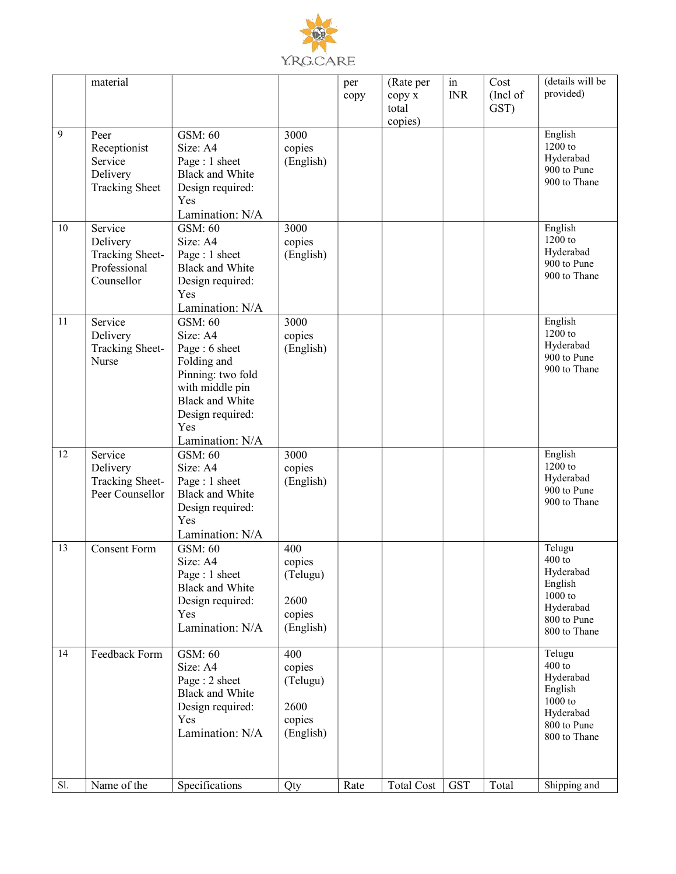

|     | material               |                                           |                | per  | (Rate per         | in         | Cost     | (details will be         |
|-----|------------------------|-------------------------------------------|----------------|------|-------------------|------------|----------|--------------------------|
|     |                        |                                           |                | copy | сору х            | <b>INR</b> | (Incl of | provided)                |
|     |                        |                                           |                |      | total             |            | GST)     |                          |
| 9   |                        | GSM: 60                                   | 3000           |      | copies)           |            |          | English                  |
|     | Peer<br>Receptionist   | Size: A4                                  | copies         |      |                   |            |          | 1200 to                  |
|     | Service                | Page: 1 sheet                             | (English)      |      |                   |            |          | Hyderabad                |
|     | Delivery               | <b>Black and White</b>                    |                |      |                   |            |          | 900 to Pune              |
|     | <b>Tracking Sheet</b>  | Design required:                          |                |      |                   |            |          | 900 to Thane             |
|     |                        | Yes                                       |                |      |                   |            |          |                          |
|     |                        | Lamination: N/A                           |                |      |                   |            |          |                          |
| 10  | Service                | GSM: 60                                   | 3000           |      |                   |            |          | English                  |
|     | Delivery               | Size: A4                                  | copies         |      |                   |            |          | 1200 to                  |
|     | <b>Tracking Sheet-</b> | Page: 1 sheet                             | (English)      |      |                   |            |          | Hyderabad                |
|     | Professional           | <b>Black and White</b>                    |                |      |                   |            |          | 900 to Pune              |
|     | Counsellor             | Design required:                          |                |      |                   |            |          | 900 to Thane             |
|     |                        | Yes                                       |                |      |                   |            |          |                          |
|     |                        | Lamination: N/A                           |                |      |                   |            |          |                          |
| 11  | Service                | GSM: 60                                   | 3000           |      |                   |            |          | English                  |
|     | Delivery               | Size: A4                                  | copies         |      |                   |            |          | 1200 to<br>Hyderabad     |
|     | <b>Tracking Sheet-</b> | Page: 6 sheet                             | (English)      |      |                   |            |          | 900 to Pune              |
|     | Nurse                  | Folding and                               |                |      |                   |            |          | 900 to Thane             |
|     |                        | Pinning: two fold                         |                |      |                   |            |          |                          |
|     |                        | with middle pin<br><b>Black and White</b> |                |      |                   |            |          |                          |
|     |                        | Design required:                          |                |      |                   |            |          |                          |
|     |                        | Yes                                       |                |      |                   |            |          |                          |
|     |                        | Lamination: N/A                           |                |      |                   |            |          |                          |
| 12  | Service                | GSM: 60                                   | 3000           |      |                   |            |          | English                  |
|     | Delivery               | Size: A4                                  | copies         |      |                   |            |          | 1200 to                  |
|     | <b>Tracking Sheet-</b> | Page: 1 sheet                             | (English)      |      |                   |            |          | Hyderabad                |
|     | Peer Counsellor        | <b>Black and White</b>                    |                |      |                   |            |          | 900 to Pune              |
|     |                        | Design required:                          |                |      |                   |            |          | 900 to Thane             |
|     |                        | Yes                                       |                |      |                   |            |          |                          |
|     |                        | Lamination: N/A                           |                |      |                   |            |          |                          |
| 13  | <b>Consent Form</b>    | GSM: 60                                   | 400            |      |                   |            |          | Telugu                   |
|     |                        | Size: A4                                  | copies         |      |                   |            |          | $400$ to                 |
|     |                        | Page : 1 sheet                            | (Telugu)       |      |                   |            |          | Hyderabad<br>English     |
|     |                        | <b>Black and White</b>                    |                |      |                   |            |          | $1000$ to                |
|     |                        | Design required:<br>Yes                   | 2600<br>copies |      |                   |            |          | Hyderabad                |
|     |                        | Lamination: N/A                           | (English)      |      |                   |            |          | 800 to Pune              |
|     |                        |                                           |                |      |                   |            |          | 800 to Thane             |
| 14  | Feedback Form          | GSM: 60                                   | 400            |      |                   |            |          | Telugu                   |
|     |                        | Size: A4                                  | copies         |      |                   |            |          | $400$ to                 |
|     |                        | Page: 2 sheet                             | (Telugu)       |      |                   |            |          | Hyderabad                |
|     |                        | <b>Black and White</b>                    |                |      |                   |            |          | English                  |
|     |                        | Design required:                          | 2600           |      |                   |            |          | $1000$ to                |
|     |                        | Yes                                       | copies         |      |                   |            |          | Hyderabad<br>800 to Pune |
|     |                        | Lamination: N/A                           | (English)      |      |                   |            |          | 800 to Thane             |
|     |                        |                                           |                |      |                   |            |          |                          |
|     |                        |                                           |                |      |                   |            |          |                          |
| Sl. | Name of the            | Specifications                            | Qty            | Rate | <b>Total Cost</b> | <b>GST</b> | Total    | Shipping and             |
|     |                        |                                           |                |      |                   |            |          |                          |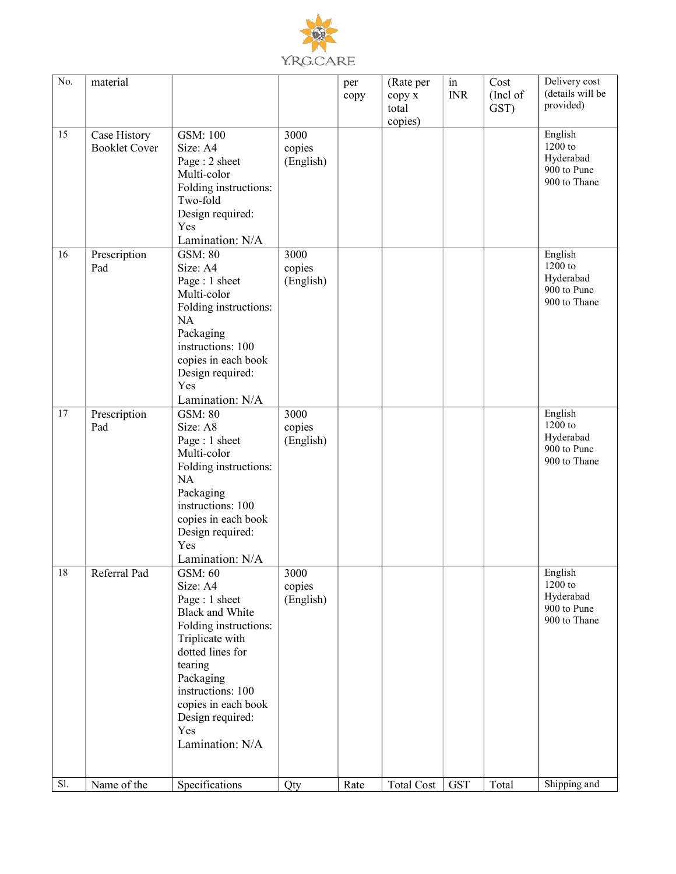

| No. | material                             |                                                                                                                                                                                                                                                  |                             | per<br>copy | (Rate per<br>сору х<br>total | in<br><b>INR</b> | Cost<br>(Incl of<br>GST) | Delivery cost<br>(details will be<br>provided)                   |
|-----|--------------------------------------|--------------------------------------------------------------------------------------------------------------------------------------------------------------------------------------------------------------------------------------------------|-----------------------------|-------------|------------------------------|------------------|--------------------------|------------------------------------------------------------------|
|     |                                      |                                                                                                                                                                                                                                                  |                             |             | copies)                      |                  |                          |                                                                  |
| 15  | Case History<br><b>Booklet Cover</b> | GSM: 100<br>Size: A4<br>Page: 2 sheet<br>Multi-color<br>Folding instructions:                                                                                                                                                                    | 3000<br>copies<br>(English) |             |                              |                  |                          | English<br>1200 to<br>Hyderabad<br>900 to Pune<br>900 to Thane   |
|     |                                      | Two-fold<br>Design required:<br>Yes<br>Lamination: N/A                                                                                                                                                                                           |                             |             |                              |                  |                          |                                                                  |
| 16  | Prescription<br>Pad                  | <b>GSM: 80</b><br>Size: A4<br>Page: 1 sheet<br>Multi-color<br>Folding instructions:<br>NA<br>Packaging<br>instructions: 100<br>copies in each book<br>Design required:<br>Yes<br>Lamination: N/A                                                 | 3000<br>copies<br>(English) |             |                              |                  |                          | English<br>$1200$ to<br>Hyderabad<br>900 to Pune<br>900 to Thane |
| 17  | Prescription<br>Pad                  | <b>GSM: 80</b><br>Size: A8<br>Page: 1 sheet<br>Multi-color<br>Folding instructions:<br>NA<br>Packaging<br>instructions: 100<br>copies in each book<br>Design required:<br>Yes<br>Lamination: N/A                                                 | 3000<br>copies<br>(English) |             |                              |                  |                          | English<br>$1200$ to<br>Hyderabad<br>900 to Pune<br>900 to Thane |
| 18  | Referral Pad                         | GSM: 60<br>Size: A4<br>Page: 1 sheet<br><b>Black and White</b><br>Folding instructions:<br>Triplicate with<br>dotted lines for<br>tearing<br>Packaging<br>instructions: 100<br>copies in each book<br>Design required:<br>Yes<br>Lamination: N/A | 3000<br>copies<br>(English) |             |                              |                  |                          | English<br>1200 to<br>Hyderabad<br>900 to Pune<br>900 to Thane   |
| Sl. | Name of the                          | Specifications                                                                                                                                                                                                                                   | Qty                         | Rate        | <b>Total Cost</b>            | <b>GST</b>       | Total                    | Shipping and                                                     |
|     |                                      |                                                                                                                                                                                                                                                  |                             |             |                              |                  |                          |                                                                  |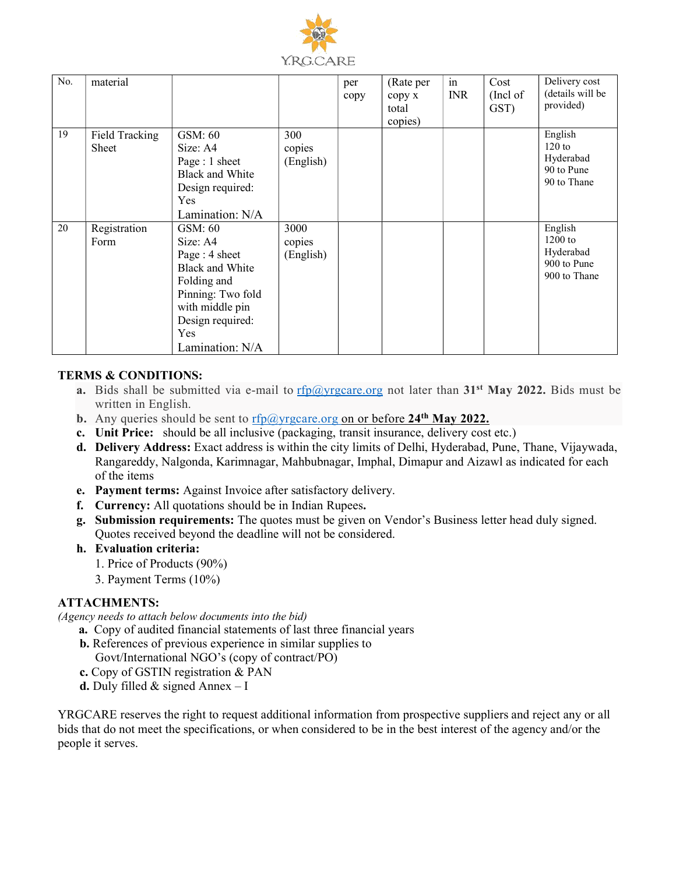

| No. | material                |                                                                                                                                                                     |                             | per<br>copy | (Rate per<br>copy x<br>total<br>copies) | in<br><b>INR</b> | Cost<br>(Incl of<br>GST) | Delivery cost<br>(details will be<br>provided)                   |
|-----|-------------------------|---------------------------------------------------------------------------------------------------------------------------------------------------------------------|-----------------------------|-------------|-----------------------------------------|------------------|--------------------------|------------------------------------------------------------------|
| 19  | Field Tracking<br>Sheet | GSM: 60<br>Size: A4<br>Page : 1 sheet<br>Black and White<br>Design required:<br>Yes<br>Lamination: N/A                                                              | 300<br>copies<br>(English)  |             |                                         |                  |                          | English<br>$120$ to<br>Hyderabad<br>90 to Pune<br>90 to Thane    |
| 20  | Registration<br>Form    | GSM: 60<br>Size: A4<br>Page: 4 sheet<br><b>Black and White</b><br>Folding and<br>Pinning: Two fold<br>with middle pin<br>Design required:<br>Yes<br>Lamination: N/A | 3000<br>copies<br>(English) |             |                                         |                  |                          | English<br>$1200$ to<br>Hyderabad<br>900 to Pune<br>900 to Thane |

#### TERMS & CONDITIONS:

- a. Bids shall be submitted via e-mail to rfp@yrgcare.org not later than 31<sup>st</sup> May 2022. Bids must be written in English.
- b. Any queries should be sent to  $\frac{rfp(\partial y) \cdot \frac{rfp(\partial y)}{q}$  on or before 24<sup>th</sup> May 2022.
- c. Unit Price: should be all inclusive (packaging, transit insurance, delivery cost etc.)
- d. Delivery Address: Exact address is within the city limits of Delhi, Hyderabad, Pune, Thane, Vijaywada, Rangareddy, Nalgonda, Karimnagar, Mahbubnagar, Imphal, Dimapur and Aizawl as indicated for each of the items
- e. Payment terms: Against Invoice after satisfactory delivery.
- f. Currency: All quotations should be in Indian Rupees.
- g. Submission requirements: The quotes must be given on Vendor's Business letter head duly signed. Quotes received beyond the deadline will not be considered.
- h. Evaluation criteria:
	- 1. Price of Products (90%)
	- 3. Payment Terms (10%)

#### ATTACHMENTS:

(Agency needs to attach below documents into the bid)

- a. Copy of audited financial statements of last three financial years
	- b. References of previous experience in similar supplies to Govt/International NGO's (copy of contract/PO)
	- c. Copy of GSTIN registration & PAN
	- **d.** Duly filled  $\&$  signed Annex  $-I$

YRGCARE reserves the right to request additional information from prospective suppliers and reject any or all bids that do not meet the specifications, or when considered to be in the best interest of the agency and/or the people it serves.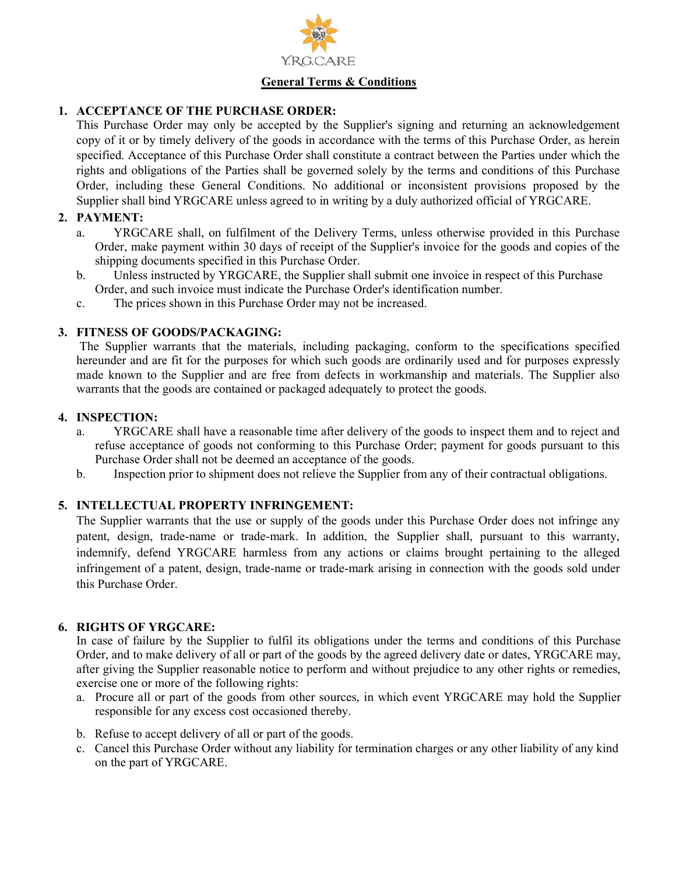

### General Terms & Conditions

#### 1. ACCEPTANCE OF THE PURCHASE ORDER:

This Purchase Order may only be accepted by the Supplier's signing and returning an acknowledgement copy of it or by timely delivery of the goods in accordance with the terms of this Purchase Order, as herein specified. Acceptance of this Purchase Order shall constitute a contract between the Parties under which the rights and obligations of the Parties shall be governed solely by the terms and conditions of this Purchase Order, including these General Conditions. No additional or inconsistent provisions proposed by the Supplier shall bind YRGCARE unless agreed to in writing by a duly authorized official of YRGCARE.

#### 2. PAYMENT:

- a. YRGCARE shall, on fulfilment of the Delivery Terms, unless otherwise provided in this Purchase Order, make payment within 30 days of receipt of the Supplier's invoice for the goods and copies of the shipping documents specified in this Purchase Order.
- b. Unless instructed by YRGCARE, the Supplier shall submit one invoice in respect of this Purchase Order, and such invoice must indicate the Purchase Order's identification number.
- c. The prices shown in this Purchase Order may not be increased.

#### 3. FITNESS OF GOODS/PACKAGING:

The Supplier warrants that the materials, including packaging, conform to the specifications specified hereunder and are fit for the purposes for which such goods are ordinarily used and for purposes expressly made known to the Supplier and are free from defects in workmanship and materials. The Supplier also warrants that the goods are contained or packaged adequately to protect the goods.

#### 4. INSPECTION:

- a. YRGCARE shall have a reasonable time after delivery of the goods to inspect them and to reject and refuse acceptance of goods not conforming to this Purchase Order; payment for goods pursuant to this Purchase Order shall not be deemed an acceptance of the goods.
- b. Inspection prior to shipment does not relieve the Supplier from any of their contractual obligations.

#### 5. INTELLECTUAL PROPERTY INFRINGEMENT:

The Supplier warrants that the use or supply of the goods under this Purchase Order does not infringe any patent, design, trade-name or trade-mark. In addition, the Supplier shall, pursuant to this warranty, indemnify, defend YRGCARE harmless from any actions or claims brought pertaining to the alleged infringement of a patent, design, trade-name or trade-mark arising in connection with the goods sold under this Purchase Order.

#### 6. RIGHTS OF YRGCARE:

In case of failure by the Supplier to fulfil its obligations under the terms and conditions of this Purchase Order, and to make delivery of all or part of the goods by the agreed delivery date or dates, YRGCARE may, after giving the Supplier reasonable notice to perform and without prejudice to any other rights or remedies, exercise one or more of the following rights:

- a. Procure all or part of the goods from other sources, in which event YRGCARE may hold the Supplier responsible for any excess cost occasioned thereby.
- b. Refuse to accept delivery of all or part of the goods.
- c. Cancel this Purchase Order without any liability for termination charges or any other liability of any kind on the part of YRGCARE.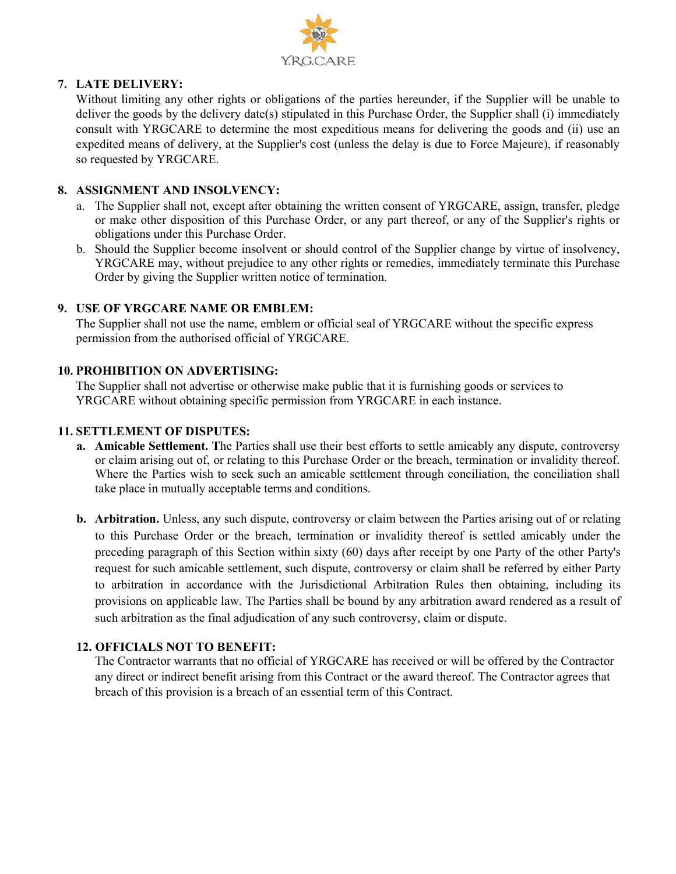

#### 7. LATE DELIVERY:

Without limiting any other rights or obligations of the parties hereunder, if the Supplier will be unable to deliver the goods by the delivery date(s) stipulated in this Purchase Order, the Supplier shall (i) immediately consult with YRGCARE to determine the most expeditious means for delivering the goods and (ii) use an expedited means of delivery, at the Supplier's cost (unless the delay is due to Force Majeure), if reasonably so requested by YRGCARE.

#### 8. ASSIGNMENT AND INSOLVENCY:

- a. The Supplier shall not, except after obtaining the written consent of YRGCARE, assign, transfer, pledge or make other disposition of this Purchase Order, or any part thereof, or any of the Supplier's rights or obligations under this Purchase Order.
- b. Should the Supplier become insolvent or should control of the Supplier change by virtue of insolvency, YRGCARE may, without prejudice to any other rights or remedies, immediately terminate this Purchase Order by giving the Supplier written notice of termination.

### 9. USE OF YRGCARE NAME OR EMBLEM:

The Supplier shall not use the name, emblem or official seal of YRGCARE without the specific express permission from the authorised official of YRGCARE.

### 10. PROHIBITION ON ADVERTISING:

The Supplier shall not advertise or otherwise make public that it is furnishing goods or services to YRGCARE without obtaining specific permission from YRGCARE in each instance.

### 11. SETTLEMENT OF DISPUTES:

- a. Amicable Settlement. The Parties shall use their best efforts to settle amicably any dispute, controversy or claim arising out of, or relating to this Purchase Order or the breach, termination or invalidity thereof. Where the Parties wish to seek such an amicable settlement through conciliation, the conciliation shall take place in mutually acceptable terms and conditions.
- b. Arbitration. Unless, any such dispute, controversy or claim between the Parties arising out of or relating to this Purchase Order or the breach, termination or invalidity thereof is settled amicably under the preceding paragraph of this Section within sixty (60) days after receipt by one Party of the other Party's request for such amicable settlement, such dispute, controversy or claim shall be referred by either Party to arbitration in accordance with the Jurisdictional Arbitration Rules then obtaining, including its provisions on applicable law. The Parties shall be bound by any arbitration award rendered as a result of such arbitration as the final adjudication of any such controversy, claim or dispute.

## 12. OFFICIALS NOT TO BENEFIT:

The Contractor warrants that no official of YRGCARE has received or will be offered by the Contractor any direct or indirect benefit arising from this Contract or the award thereof. The Contractor agrees that breach of this provision is a breach of an essential term of this Contract.